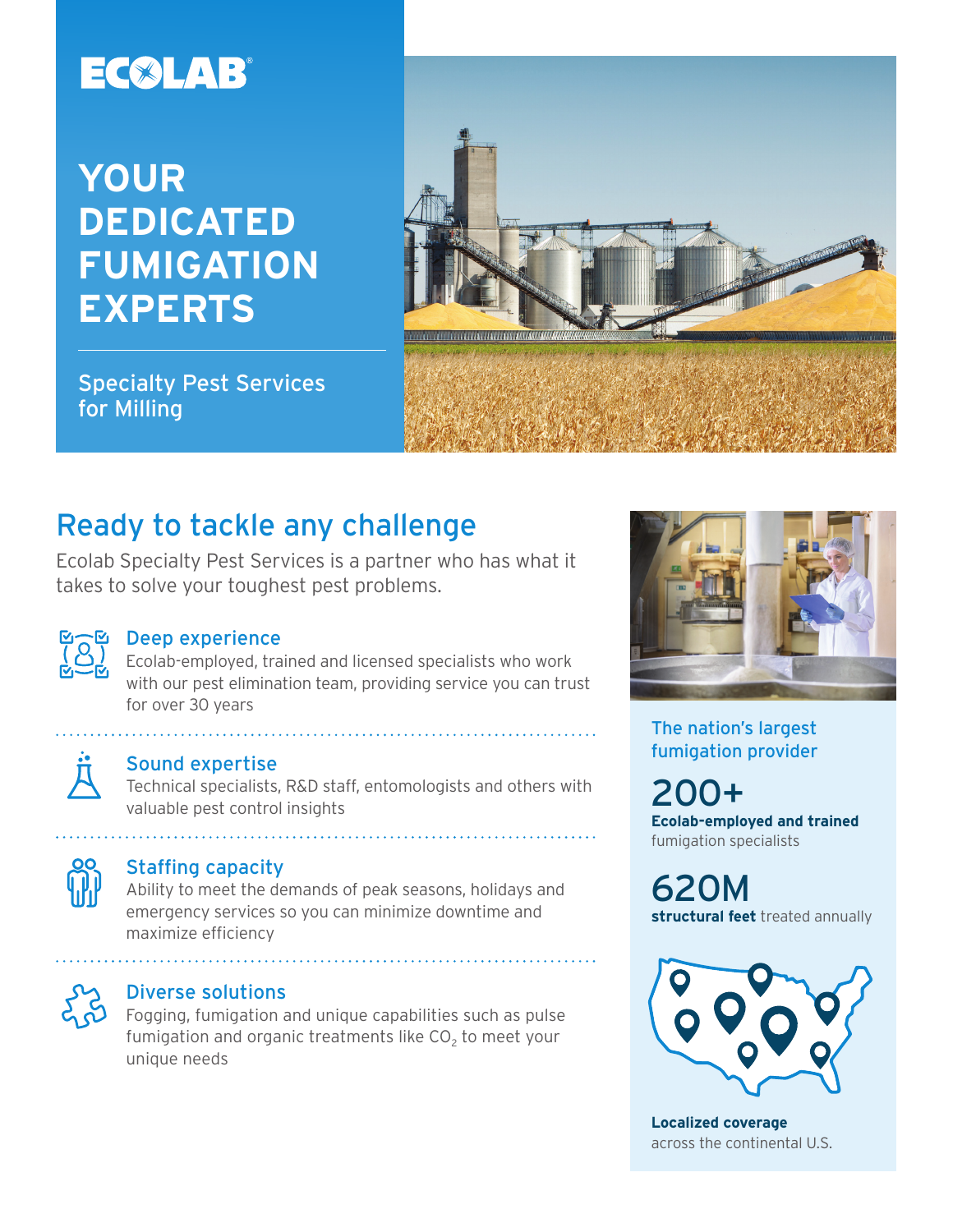# EC®LAB®

## **YOUR DEDICATED FUMIGATION EXPERTS**



Specialty Pest Services for Milling

### Ready to tackle any challenge

Ecolab Specialty Pest Services is a partner who has what it takes to solve your toughest pest problems.



#### Deep experience

Ecolab-employed, trained and licensed specialists who work with our pest elimination team, providing service you can trust for over 30 years



#### Sound expertise

Technical specialists, R&D staff, entomologists and others with valuable pest control insights

#### Staffing capacity

Ability to meet the demands of peak seasons, holidays and emergency services so you can minimize downtime and maximize efficiency



#### Diverse solutions

Fogging, fumigation and unique capabilities such as pulse fumigation and organic treatments like  $CO<sub>2</sub>$  to meet your unique needs



The nation's largest fumigation provider

200+ **Ecolab-employed and trained** fumigation specialists

620M **structural feet** treated annually



**Localized coverage** across the continental U.S.